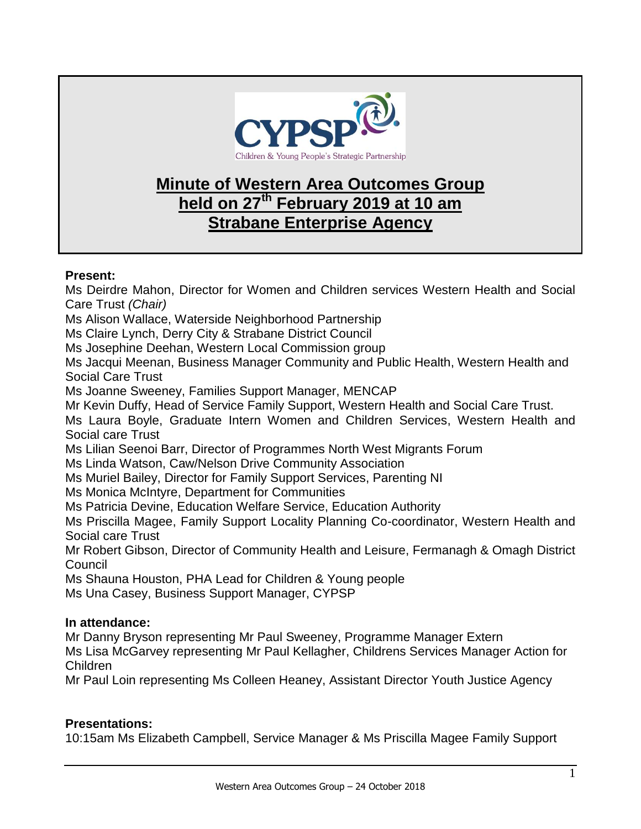

## **Minute of Western Area Outcomes Group held on 27th February 2019 at 10 am Strabane Enterprise Agency**

## **Present:**

Ms Deirdre Mahon, Director for Women and Children services Western Health and Social Care Trust *(Chair)* Ms Alison Wallace, Waterside Neighborhood Partnership Ms Claire Lynch, Derry City & Strabane District Council Ms Josephine Deehan, Western Local Commission group Ms Jacqui Meenan, Business Manager Community and Public Health, Western Health and Social Care Trust Ms Joanne Sweeney, Families Support Manager, MENCAP Mr Kevin Duffy, Head of Service Family Support, Western Health and Social Care Trust. Ms Laura Boyle, Graduate Intern Women and Children Services, Western Health and Social care Trust Ms Lilian Seenoi Barr, Director of Programmes North West Migrants Forum Ms Linda Watson, Caw/Nelson Drive Community Association Ms Muriel Bailey, Director for Family Support Services, Parenting NI Ms Monica McIntyre, Department for Communities Ms Patricia Devine, Education Welfare Service, Education Authority

Ms Priscilla Magee, Family Support Locality Planning Co-coordinator, Western Health and Social care Trust

Mr Robert Gibson, Director of Community Health and Leisure, Fermanagh & Omagh District **Council** 

Ms Shauna Houston, PHA Lead for Children & Young people

Ms Una Casey, Business Support Manager, CYPSP

## **In attendance:**

Mr Danny Bryson representing Mr Paul Sweeney, Programme Manager Extern

Ms Lisa McGarvey representing Mr Paul Kellagher, Childrens Services Manager Action for Children

Mr Paul Loin representing Ms Colleen Heaney, Assistant Director Youth Justice Agency

## **Presentations:**

10:15am Ms Elizabeth Campbell, Service Manager & Ms Priscilla Magee Family Support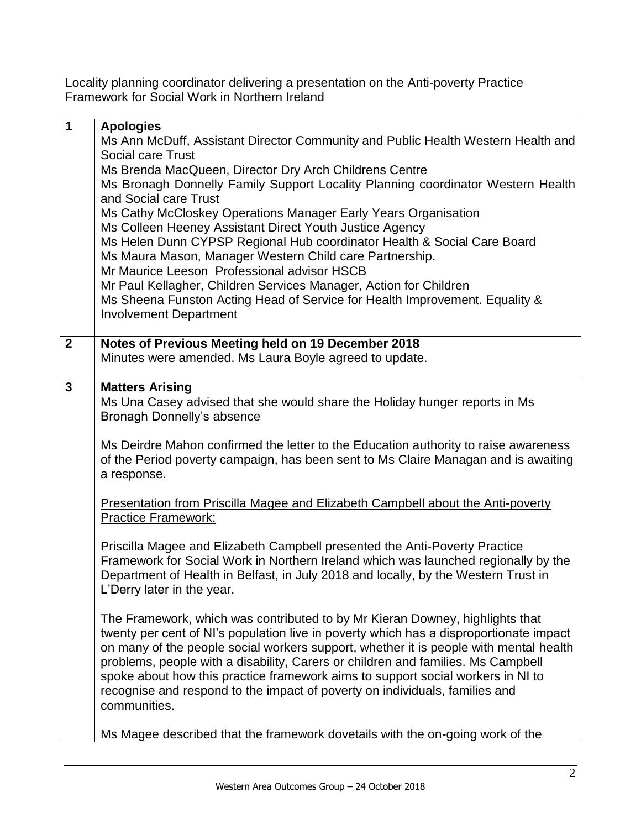Locality planning coordinator delivering a presentation on the Anti-poverty Practice Framework for Social Work in Northern Ireland

| $\mathbf 1$    | <b>Apologies</b>                                                                                                                                                    |
|----------------|---------------------------------------------------------------------------------------------------------------------------------------------------------------------|
|                | Ms Ann McDuff, Assistant Director Community and Public Health Western Health and                                                                                    |
|                | Social care Trust                                                                                                                                                   |
|                | Ms Brenda MacQueen, Director Dry Arch Childrens Centre                                                                                                              |
|                | Ms Bronagh Donnelly Family Support Locality Planning coordinator Western Health                                                                                     |
|                | and Social care Trust                                                                                                                                               |
|                | Ms Cathy McCloskey Operations Manager Early Years Organisation                                                                                                      |
|                | Ms Colleen Heeney Assistant Direct Youth Justice Agency                                                                                                             |
|                | Ms Helen Dunn CYPSP Regional Hub coordinator Health & Social Care Board                                                                                             |
|                | Ms Maura Mason, Manager Western Child care Partnership.                                                                                                             |
|                | Mr Maurice Leeson Professional advisor HSCB                                                                                                                         |
|                | Mr Paul Kellagher, Children Services Manager, Action for Children                                                                                                   |
|                | Ms Sheena Funston Acting Head of Service for Health Improvement. Equality &<br><b>Involvement Department</b>                                                        |
|                |                                                                                                                                                                     |
| $\mathbf{2}$   | Notes of Previous Meeting held on 19 December 2018                                                                                                                  |
|                | Minutes were amended. Ms Laura Boyle agreed to update.                                                                                                              |
|                |                                                                                                                                                                     |
| $\overline{3}$ | <b>Matters Arising</b>                                                                                                                                              |
|                | Ms Una Casey advised that she would share the Holiday hunger reports in Ms                                                                                          |
|                | Bronagh Donnelly's absence                                                                                                                                          |
|                |                                                                                                                                                                     |
|                | Ms Deirdre Mahon confirmed the letter to the Education authority to raise awareness                                                                                 |
|                | of the Period poverty campaign, has been sent to Ms Claire Managan and is awaiting                                                                                  |
|                | a response.                                                                                                                                                         |
|                | <b>Presentation from Priscilla Magee and Elizabeth Campbell about the Anti-poverty</b>                                                                              |
|                | <b>Practice Framework:</b>                                                                                                                                          |
|                |                                                                                                                                                                     |
|                | Priscilla Magee and Elizabeth Campbell presented the Anti-Poverty Practice                                                                                          |
|                | Framework for Social Work in Northern Ireland which was launched regionally by the                                                                                  |
|                | Department of Health in Belfast, in July 2018 and locally, by the Western Trust in                                                                                  |
|                | L'Derry later in the year.                                                                                                                                          |
|                |                                                                                                                                                                     |
|                | The Framework, which was contributed to by Mr Kieran Downey, highlights that                                                                                        |
|                | twenty per cent of NI's population live in poverty which has a disproportionate impact                                                                              |
|                | on many of the people social workers support, whether it is people with mental health                                                                               |
|                | problems, people with a disability, Carers or children and families. Ms Campbell<br>spoke about how this practice framework aims to support social workers in NI to |
|                | recognise and respond to the impact of poverty on individuals, families and                                                                                         |
|                | communities.                                                                                                                                                        |
|                |                                                                                                                                                                     |
|                | Ms Magee described that the framework dovetails with the on-going work of the                                                                                       |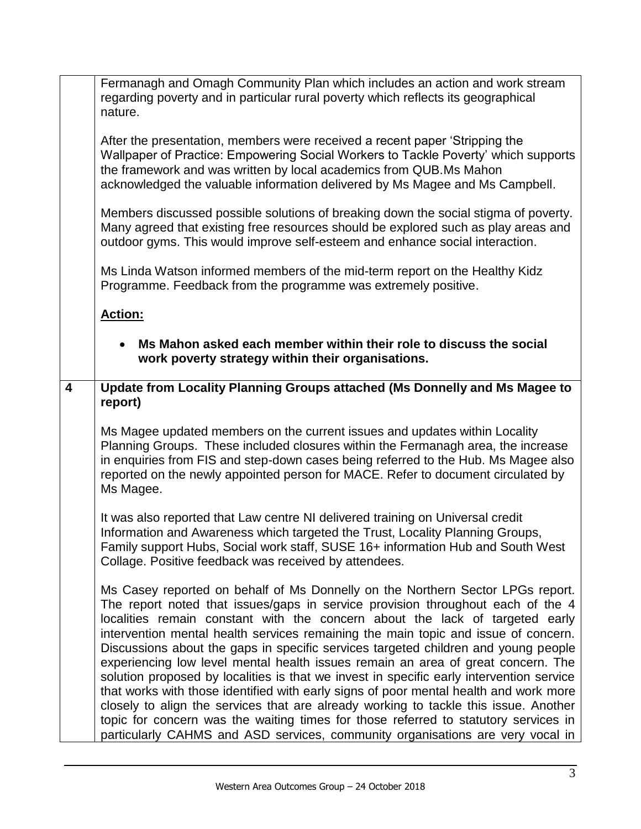|   | Fermanagh and Omagh Community Plan which includes an action and work stream<br>regarding poverty and in particular rural poverty which reflects its geographical<br>nature.                                                                                                                                                                                                                                                                                                                                                                                                                                                                                                                                                                                                                                                                                                                                                                                             |
|---|-------------------------------------------------------------------------------------------------------------------------------------------------------------------------------------------------------------------------------------------------------------------------------------------------------------------------------------------------------------------------------------------------------------------------------------------------------------------------------------------------------------------------------------------------------------------------------------------------------------------------------------------------------------------------------------------------------------------------------------------------------------------------------------------------------------------------------------------------------------------------------------------------------------------------------------------------------------------------|
|   | After the presentation, members were received a recent paper 'Stripping the<br>Wallpaper of Practice: Empowering Social Workers to Tackle Poverty' which supports<br>the framework and was written by local academics from QUB.Ms Mahon<br>acknowledged the valuable information delivered by Ms Magee and Ms Campbell.                                                                                                                                                                                                                                                                                                                                                                                                                                                                                                                                                                                                                                                 |
|   | Members discussed possible solutions of breaking down the social stigma of poverty.<br>Many agreed that existing free resources should be explored such as play areas and<br>outdoor gyms. This would improve self-esteem and enhance social interaction.                                                                                                                                                                                                                                                                                                                                                                                                                                                                                                                                                                                                                                                                                                               |
|   | Ms Linda Watson informed members of the mid-term report on the Healthy Kidz<br>Programme. Feedback from the programme was extremely positive.                                                                                                                                                                                                                                                                                                                                                                                                                                                                                                                                                                                                                                                                                                                                                                                                                           |
|   | <b>Action:</b>                                                                                                                                                                                                                                                                                                                                                                                                                                                                                                                                                                                                                                                                                                                                                                                                                                                                                                                                                          |
|   | Ms Mahon asked each member within their role to discuss the social<br>work poverty strategy within their organisations.                                                                                                                                                                                                                                                                                                                                                                                                                                                                                                                                                                                                                                                                                                                                                                                                                                                 |
| 4 | Update from Locality Planning Groups attached (Ms Donnelly and Ms Magee to<br>report)                                                                                                                                                                                                                                                                                                                                                                                                                                                                                                                                                                                                                                                                                                                                                                                                                                                                                   |
|   | Ms Magee updated members on the current issues and updates within Locality<br>Planning Groups. These included closures within the Fermanagh area, the increase<br>in enquiries from FIS and step-down cases being referred to the Hub. Ms Magee also<br>reported on the newly appointed person for MACE. Refer to document circulated by<br>Ms Magee.                                                                                                                                                                                                                                                                                                                                                                                                                                                                                                                                                                                                                   |
|   | It was also reported that Law centre NI delivered training on Universal credit<br>Information and Awareness which targeted the Trust, Locality Planning Groups,<br>Family support Hubs, Social work staff, SUSE 16+ information Hub and South West<br>Collage. Positive feedback was received by attendees.                                                                                                                                                                                                                                                                                                                                                                                                                                                                                                                                                                                                                                                             |
|   | Ms Casey reported on behalf of Ms Donnelly on the Northern Sector LPGs report.<br>The report noted that issues/gaps in service provision throughout each of the 4<br>localities remain constant with the concern about the lack of targeted early<br>intervention mental health services remaining the main topic and issue of concern.<br>Discussions about the gaps in specific services targeted children and young people<br>experiencing low level mental health issues remain an area of great concern. The<br>solution proposed by localities is that we invest in specific early intervention service<br>that works with those identified with early signs of poor mental health and work more<br>closely to align the services that are already working to tackle this issue. Another<br>topic for concern was the waiting times for those referred to statutory services in<br>particularly CAHMS and ASD services, community organisations are very vocal in |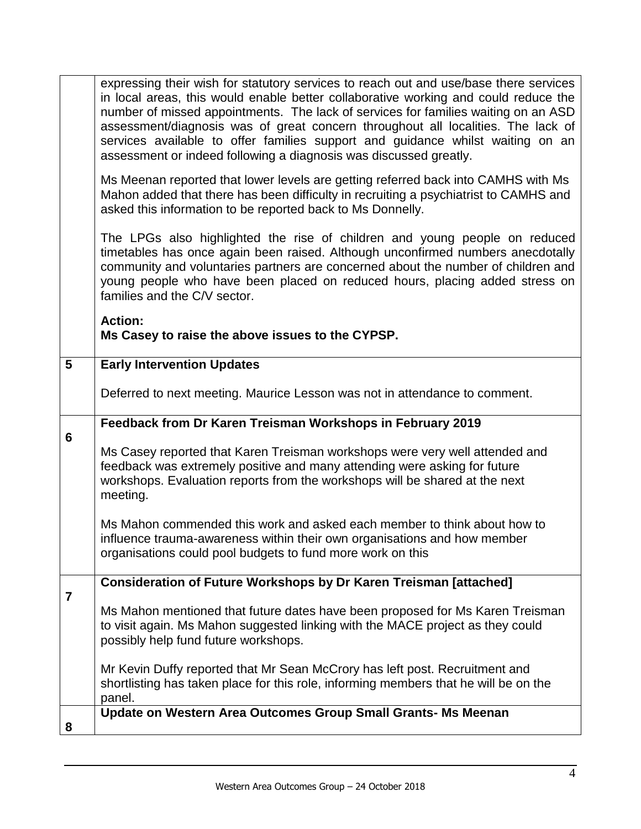|                 | expressing their wish for statutory services to reach out and use/base there services<br>in local areas, this would enable better collaborative working and could reduce the<br>number of missed appointments. The lack of services for families waiting on an ASD<br>assessment/diagnosis was of great concern throughout all localities. The lack of<br>services available to offer families support and guidance whilst waiting on an<br>assessment or indeed following a diagnosis was discussed greatly. |
|-----------------|---------------------------------------------------------------------------------------------------------------------------------------------------------------------------------------------------------------------------------------------------------------------------------------------------------------------------------------------------------------------------------------------------------------------------------------------------------------------------------------------------------------|
|                 | Ms Meenan reported that lower levels are getting referred back into CAMHS with Ms<br>Mahon added that there has been difficulty in recruiting a psychiatrist to CAMHS and<br>asked this information to be reported back to Ms Donnelly.                                                                                                                                                                                                                                                                       |
|                 | The LPGs also highlighted the rise of children and young people on reduced<br>timetables has once again been raised. Although unconfirmed numbers anecdotally<br>community and voluntaries partners are concerned about the number of children and<br>young people who have been placed on reduced hours, placing added stress on<br>families and the C/V sector.                                                                                                                                             |
|                 | <b>Action:</b>                                                                                                                                                                                                                                                                                                                                                                                                                                                                                                |
|                 | Ms Casey to raise the above issues to the CYPSP.                                                                                                                                                                                                                                                                                                                                                                                                                                                              |
| $5\phantom{.0}$ | <b>Early Intervention Updates</b>                                                                                                                                                                                                                                                                                                                                                                                                                                                                             |
|                 | Deferred to next meeting. Maurice Lesson was not in attendance to comment.                                                                                                                                                                                                                                                                                                                                                                                                                                    |
| $6\phantom{1}$  | Feedback from Dr Karen Treisman Workshops in February 2019                                                                                                                                                                                                                                                                                                                                                                                                                                                    |
|                 | Ms Casey reported that Karen Treisman workshops were very well attended and<br>feedback was extremely positive and many attending were asking for future<br>workshops. Evaluation reports from the workshops will be shared at the next<br>meeting.                                                                                                                                                                                                                                                           |
|                 | Ms Mahon commended this work and asked each member to think about how to<br>influence trauma-awareness within their own organisations and how member<br>organisations could pool budgets to fund more work on this                                                                                                                                                                                                                                                                                            |
| $\overline{7}$  | <b>Consideration of Future Workshops by Dr Karen Treisman [attached]</b>                                                                                                                                                                                                                                                                                                                                                                                                                                      |
|                 | Ms Mahon mentioned that future dates have been proposed for Ms Karen Treisman<br>to visit again. Ms Mahon suggested linking with the MACE project as they could<br>possibly help fund future workshops.                                                                                                                                                                                                                                                                                                       |
|                 | Mr Kevin Duffy reported that Mr Sean McCrory has left post. Recruitment and<br>shortlisting has taken place for this role, informing members that he will be on the<br>panel.                                                                                                                                                                                                                                                                                                                                 |
| 8               | Update on Western Area Outcomes Group Small Grants- Ms Meenan                                                                                                                                                                                                                                                                                                                                                                                                                                                 |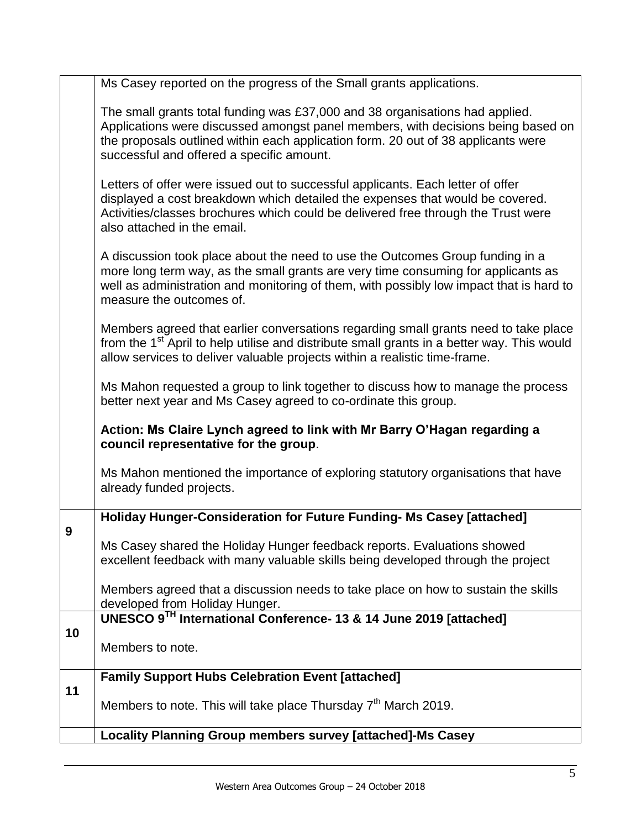|    | Ms Casey reported on the progress of the Small grants applications.                                                                                                                                                                                                                                |
|----|----------------------------------------------------------------------------------------------------------------------------------------------------------------------------------------------------------------------------------------------------------------------------------------------------|
|    | The small grants total funding was £37,000 and 38 organisations had applied.<br>Applications were discussed amongst panel members, with decisions being based on<br>the proposals outlined within each application form. 20 out of 38 applicants were<br>successful and offered a specific amount. |
|    | Letters of offer were issued out to successful applicants. Each letter of offer<br>displayed a cost breakdown which detailed the expenses that would be covered.<br>Activities/classes brochures which could be delivered free through the Trust were<br>also attached in the email.               |
|    | A discussion took place about the need to use the Outcomes Group funding in a<br>more long term way, as the small grants are very time consuming for applicants as<br>well as administration and monitoring of them, with possibly low impact that is hard to<br>measure the outcomes of.          |
|    | Members agreed that earlier conversations regarding small grants need to take place<br>from the 1 <sup>st</sup> April to help utilise and distribute small grants in a better way. This would<br>allow services to deliver valuable projects within a realistic time-frame.                        |
|    | Ms Mahon requested a group to link together to discuss how to manage the process<br>better next year and Ms Casey agreed to co-ordinate this group.                                                                                                                                                |
|    | Action: Ms Claire Lynch agreed to link with Mr Barry O'Hagan regarding a<br>council representative for the group.                                                                                                                                                                                  |
|    | Ms Mahon mentioned the importance of exploring statutory organisations that have<br>already funded projects.                                                                                                                                                                                       |
|    | Holiday Hunger-Consideration for Future Funding- Ms Casey [attached]                                                                                                                                                                                                                               |
| 9  | Ms Casey shared the Holiday Hunger feedback reports. Evaluations showed<br>excellent feedback with many valuable skills being developed through the project                                                                                                                                        |
|    | Members agreed that a discussion needs to take place on how to sustain the skills<br>developed from Holiday Hunger.                                                                                                                                                                                |
|    | UNESCO 9TH International Conference-13 & 14 June 2019 [attached]                                                                                                                                                                                                                                   |
| 10 | Members to note.                                                                                                                                                                                                                                                                                   |
| 11 | <b>Family Support Hubs Celebration Event [attached]</b>                                                                                                                                                                                                                                            |
|    | Members to note. This will take place Thursday $7th$ March 2019.                                                                                                                                                                                                                                   |
|    | Locality Planning Group members survey [attached]-Ms Casey                                                                                                                                                                                                                                         |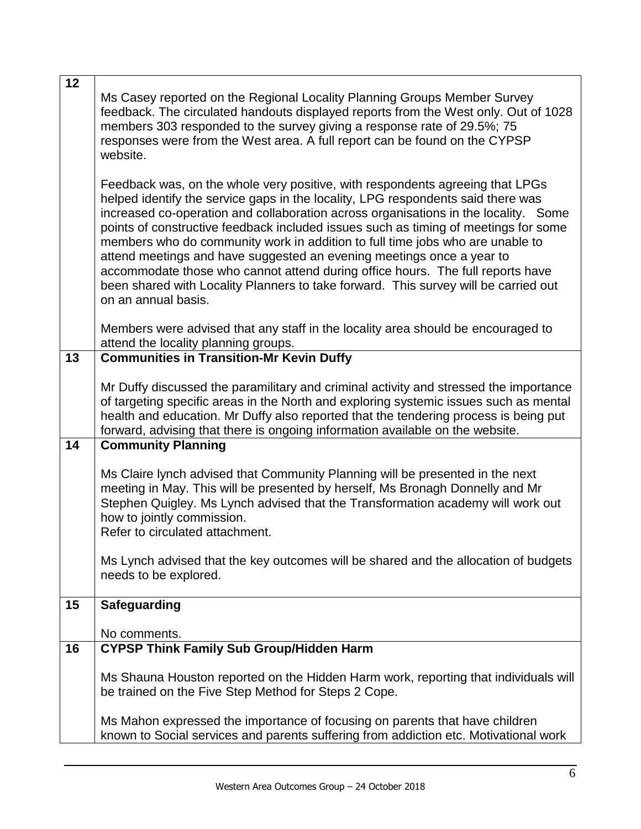| 12 | Ms Casey reported on the Regional Locality Planning Groups Member Survey<br>feedback. The circulated handouts displayed reports from the West only. Out of 1028<br>members 303 responded to the survey giving a response rate of 29.5%; 75<br>responses were from the West area. A full report can be found on the CYPSP<br>website.                                                                                                                                                                                                                                                                                                                                                                      |
|----|-----------------------------------------------------------------------------------------------------------------------------------------------------------------------------------------------------------------------------------------------------------------------------------------------------------------------------------------------------------------------------------------------------------------------------------------------------------------------------------------------------------------------------------------------------------------------------------------------------------------------------------------------------------------------------------------------------------|
|    | Feedback was, on the whole very positive, with respondents agreeing that LPGs<br>helped identify the service gaps in the locality, LPG respondents said there was<br>increased co-operation and collaboration across organisations in the locality. Some<br>points of constructive feedback included issues such as timing of meetings for some<br>members who do community work in addition to full time jobs who are unable to<br>attend meetings and have suggested an evening meetings once a year to<br>accommodate those who cannot attend during office hours. The full reports have<br>been shared with Locality Planners to take forward. This survey will be carried out<br>on an annual basis. |
|    | Members were advised that any staff in the locality area should be encouraged to<br>attend the locality planning groups.                                                                                                                                                                                                                                                                                                                                                                                                                                                                                                                                                                                  |
| 13 | <b>Communities in Transition-Mr Kevin Duffy</b>                                                                                                                                                                                                                                                                                                                                                                                                                                                                                                                                                                                                                                                           |
|    | Mr Duffy discussed the paramilitary and criminal activity and stressed the importance<br>of targeting specific areas in the North and exploring systemic issues such as mental<br>health and education. Mr Duffy also reported that the tendering process is being put<br>forward, advising that there is ongoing information available on the website.                                                                                                                                                                                                                                                                                                                                                   |
| 14 | <b>Community Planning</b>                                                                                                                                                                                                                                                                                                                                                                                                                                                                                                                                                                                                                                                                                 |
|    | Ms Claire lynch advised that Community Planning will be presented in the next<br>meeting in May. This will be presented by herself, Ms Bronagh Donnelly and Mr<br>Stephen Quigley. Ms Lynch advised that the Transformation academy will work out<br>how to jointly commission.<br>Refer to circulated attachment.                                                                                                                                                                                                                                                                                                                                                                                        |
|    | Ms Lynch advised that the key outcomes will be shared and the allocation of budgets<br>needs to be explored.                                                                                                                                                                                                                                                                                                                                                                                                                                                                                                                                                                                              |
| 15 | <b>Safeguarding</b>                                                                                                                                                                                                                                                                                                                                                                                                                                                                                                                                                                                                                                                                                       |
|    | No comments.                                                                                                                                                                                                                                                                                                                                                                                                                                                                                                                                                                                                                                                                                              |
| 16 | <b>CYPSP Think Family Sub Group/Hidden Harm</b>                                                                                                                                                                                                                                                                                                                                                                                                                                                                                                                                                                                                                                                           |
|    | Ms Shauna Houston reported on the Hidden Harm work, reporting that individuals will<br>be trained on the Five Step Method for Steps 2 Cope.                                                                                                                                                                                                                                                                                                                                                                                                                                                                                                                                                               |
|    | Ms Mahon expressed the importance of focusing on parents that have children<br>known to Social services and parents suffering from addiction etc. Motivational work                                                                                                                                                                                                                                                                                                                                                                                                                                                                                                                                       |